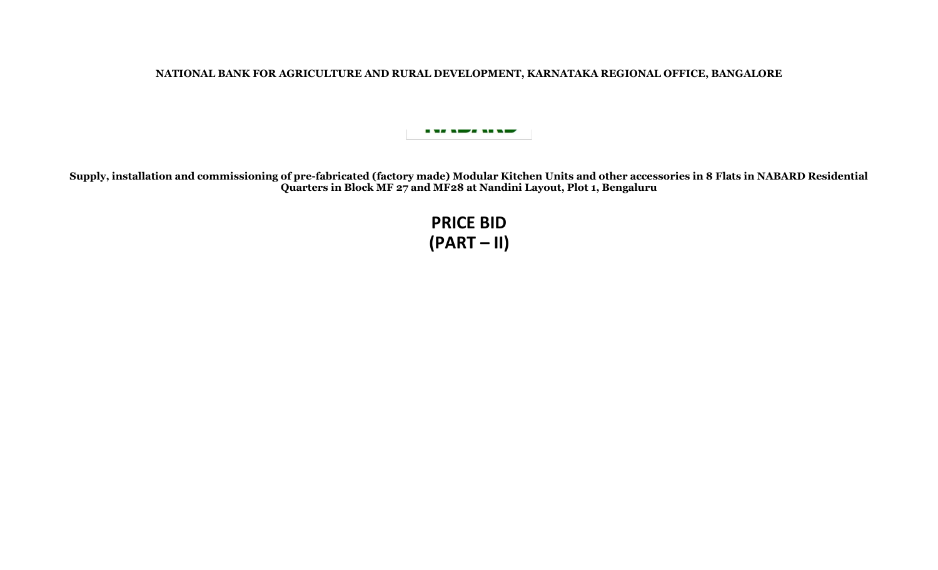**NATIONAL BANK FOR AGRICULTURE AND RURAL DEVELOPMENT, KARNATAKA REGIONAL OFFICE, BANGALORE**

---------

**Supply, installation and commissioning of pre-fabricated (factory made) Modular Kitchen Units and other accessories in 8 Flats in NABARD Residential Quarters in Block MF 27 and MF28 at Nandini Layout, Plot 1, Bengaluru**

> **PRICE BID (PART – II)**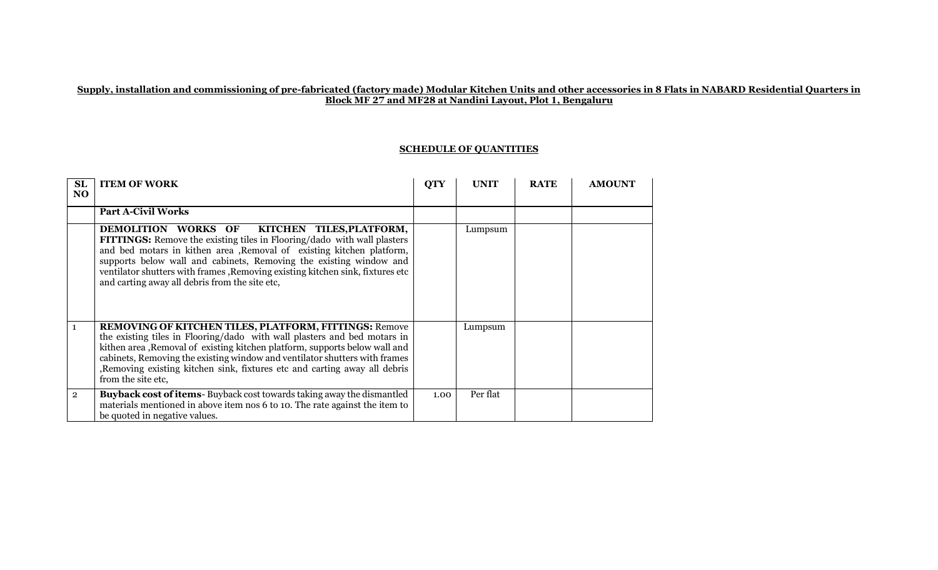## **Supply, installation and commissioning of pre-fabricated (factory made) Modular Kitchen Units and other accessories in 8 Flats in NABARD Residential Quarters in Block MF 27 and MF28 at Nandini Layout, Plot 1, Bengaluru**

## **SCHEDULE OF QUANTITIES**

| SL<br>NO.      | <b>ITEM OF WORK</b>                                                                                                                                                                                                                                                                                                                                                                                                  | <b>QTY</b> | <b>UNIT</b> | <b>RATE</b> | <b>AMOUNT</b> |
|----------------|----------------------------------------------------------------------------------------------------------------------------------------------------------------------------------------------------------------------------------------------------------------------------------------------------------------------------------------------------------------------------------------------------------------------|------------|-------------|-------------|---------------|
|                | <b>Part A-Civil Works</b>                                                                                                                                                                                                                                                                                                                                                                                            |            |             |             |               |
|                | <b>DEMOLITION WORKS OF</b><br>KITCHEN TILES, PLATFORM,<br>FITTINGS: Remove the existing tiles in Flooring/dado with wall plasters<br>and bed motars in kithen area , Removal of existing kitchen platform,<br>supports below wall and cabinets, Removing the existing window and<br>ventilator shutters with frames , Removing existing kitchen sink, fixtures etc<br>and carting away all debris from the site etc, |            | Lumpsum     |             |               |
| $\mathbf{1}$   | REMOVING OF KITCHEN TILES, PLATFORM, FITTINGS: Remove<br>the existing tiles in Flooring/dado with wall plasters and bed motars in<br>kithen area, Removal of existing kitchen platform, supports below wall and<br>cabinets, Removing the existing window and ventilator shutters with frames<br>, Removing existing kitchen sink, fixtures etc and carting away all debris<br>from the site etc,                    |            | Lumpsum     |             |               |
| $\overline{2}$ | <b>Buyback cost of items</b> -Buyback cost towards taking away the dismantled<br>materials mentioned in above item nos 6 to 10. The rate against the item to<br>be quoted in negative values.                                                                                                                                                                                                                        | 1.00       | Per flat    |             |               |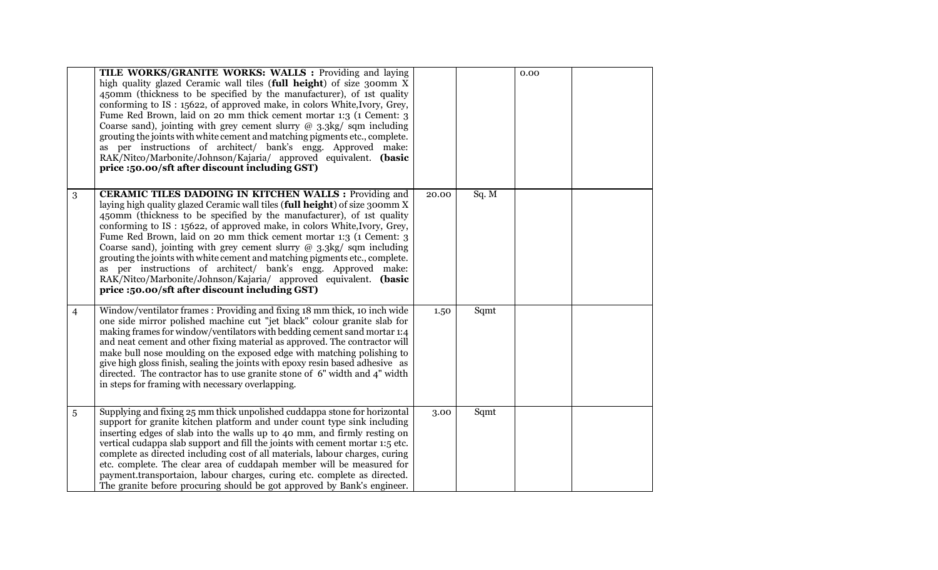|                | TILE WORKS/GRANITE WORKS: WALLS : Providing and laying<br>high quality glazed Ceramic wall tiles (full height) of size 300mm X<br>450mm (thickness to be specified by the manufacturer), of 1st quality<br>conforming to IS: 15622, of approved make, in colors White, Ivory, Grey,<br>Fume Red Brown, laid on 20 mm thick cement mortar 1:3 (1 Cement: 3)<br>Coarse sand), jointing with grey cement slurry $@$ 3.3kg/ sqm including<br>grouting the joints with white cement and matching pigments etc., complete.<br>as per instructions of architect/ bank's engg. Approved make:<br>RAK/Nitco/Marbonite/Johnson/Kajaria/ approved equivalent. (basic<br>price :50.00/sft after discount including GST)             |       |       | 0.00 |  |
|----------------|-------------------------------------------------------------------------------------------------------------------------------------------------------------------------------------------------------------------------------------------------------------------------------------------------------------------------------------------------------------------------------------------------------------------------------------------------------------------------------------------------------------------------------------------------------------------------------------------------------------------------------------------------------------------------------------------------------------------------|-------|-------|------|--|
| 3              | <b>CERAMIC TILES DADOING IN KITCHEN WALLS: Providing and</b><br>laying high quality glazed Ceramic wall tiles (full height) of size 300mm X<br>450mm (thickness to be specified by the manufacturer), of 1st quality<br>conforming to IS: 15622, of approved make, in colors White, Ivory, Grey,<br>Fume Red Brown, laid on 20 mm thick cement mortar 1:3 (1 Cement: 3<br>Coarse sand), jointing with grey cement slurry $@$ 3.3kg/ sqm including<br>grouting the joints with white cement and matching pigments etc., complete.<br>as per instructions of architect/ bank's engg. Approved make:<br>RAK/Nitco/Marbonite/Johnson/Kajaria/ approved equivalent. (basic<br>price :50.00/sft after discount including GST) | 20.00 | Sq. M |      |  |
| $\overline{4}$ | Window/ventilator frames: Providing and fixing 18 mm thick, 10 inch wide<br>one side mirror polished machine cut "jet black" colour granite slab for<br>making frames for window/ventilators with bedding cement sand mortar 1:4<br>and neat cement and other fixing material as approved. The contractor will<br>make bull nose moulding on the exposed edge with matching polishing to<br>give high gloss finish, sealing the joints with epoxy resin based adhesive as<br>directed. The contractor has to use granite stone of $6"$ width and $4"$ width<br>in steps for framing with necessary overlapping.                                                                                                         | 1.50  | Sqmt  |      |  |
| 5              | Supplying and fixing 25 mm thick unpolished cuddappa stone for horizontal<br>support for granite kitchen platform and under count type sink including<br>inserting edges of slab into the walls up to 40 mm, and firmly resting on<br>vertical cudappa slab support and fill the joints with cement mortar 1:5 etc.<br>complete as directed including cost of all materials, labour charges, curing<br>etc. complete. The clear area of cuddapah member will be measured for<br>payment.transportaion, labour charges, curing etc. complete as directed.<br>The granite before procuring should be got approved by Bank's engineer.                                                                                     | 3.00  | Sqmt  |      |  |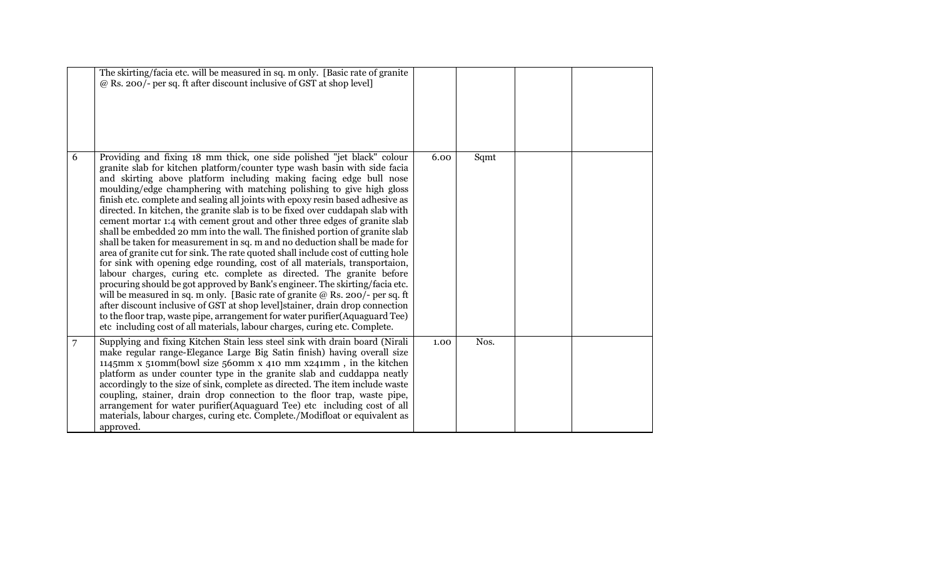|   | The skirting/facia etc. will be measured in sq. m only. [Basic rate of granite<br>@ Rs. 200/- per sq. ft after discount inclusive of GST at shop level]                                                                                                                                                                                                                                                                                                                                                                                                                                                                                                                                                                                                                                                                                                                                                                                                                                                                                                                                                                                                                                                                                                                                                                                                                    |      |      |  |
|---|----------------------------------------------------------------------------------------------------------------------------------------------------------------------------------------------------------------------------------------------------------------------------------------------------------------------------------------------------------------------------------------------------------------------------------------------------------------------------------------------------------------------------------------------------------------------------------------------------------------------------------------------------------------------------------------------------------------------------------------------------------------------------------------------------------------------------------------------------------------------------------------------------------------------------------------------------------------------------------------------------------------------------------------------------------------------------------------------------------------------------------------------------------------------------------------------------------------------------------------------------------------------------------------------------------------------------------------------------------------------------|------|------|--|
| 6 | Providing and fixing 18 mm thick, one side polished "jet black" colour<br>granite slab for kitchen platform/counter type wash basin with side facia<br>and skirting above platform including making facing edge bull nose<br>moulding/edge champhering with matching polishing to give high gloss<br>finish etc. complete and sealing all joints with epoxy resin based adhesive as<br>directed. In kitchen, the granite slab is to be fixed over cuddapah slab with<br>cement mortar 1:4 with cement grout and other three edges of granite slab<br>shall be embedded 20 mm into the wall. The finished portion of granite slab<br>shall be taken for measurement in sq. m and no deduction shall be made for<br>area of granite cut for sink. The rate quoted shall include cost of cutting hole<br>for sink with opening edge rounding, cost of all materials, transportaion,<br>labour charges, curing etc. complete as directed. The granite before<br>procuring should be got approved by Bank's engineer. The skirting/facia etc.<br>will be measured in sq. m only. [Basic rate of granite $@$ Rs. 200/- per sq. ft<br>after discount inclusive of GST at shop level]stainer, drain drop connection<br>to the floor trap, waste pipe, arrangement for water purifier (Aquaguard Tee)<br>etc including cost of all materials, labour charges, curing etc. Complete. | 6.00 | Sqmt |  |
| 7 | Supplying and fixing Kitchen Stain less steel sink with drain board (Nirali<br>make regular range-Elegance Large Big Satin finish) having overall size<br>1145mm x 510mm(bowl size 560mm x 410 mm $x$ 241mm, in the kitchen<br>platform as under counter type in the granite slab and cuddappa neatly<br>accordingly to the size of sink, complete as directed. The item include waste<br>coupling, stainer, drain drop connection to the floor trap, waste pipe,<br>arrangement for water purifier (Aquaguard Tee) etc including cost of all<br>materials, labour charges, curing etc. Complete./Modifloat or equivalent as<br>approved.                                                                                                                                                                                                                                                                                                                                                                                                                                                                                                                                                                                                                                                                                                                                  | 1.00 | Nos. |  |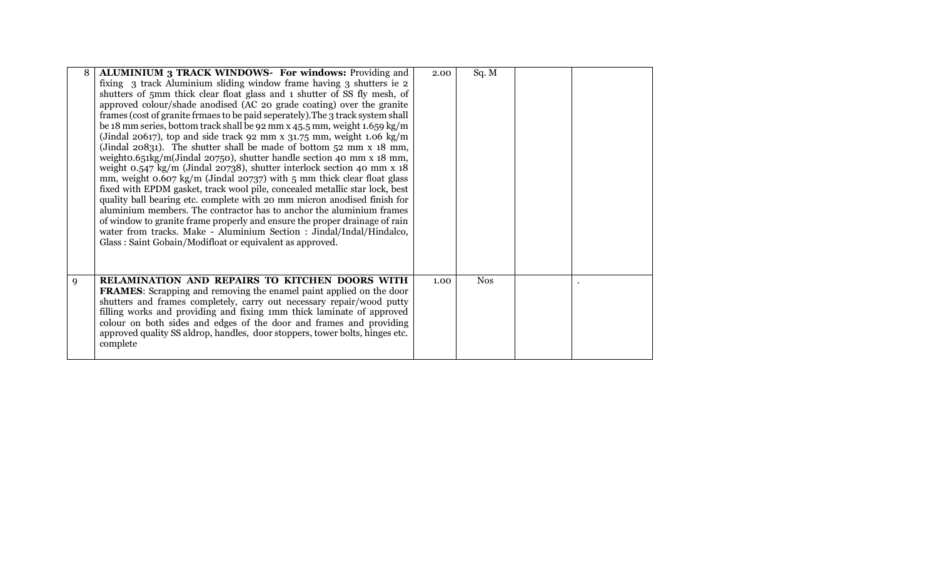| 8 | ALUMINIUM 3 TRACK WINDOWS- For windows: Providing and                            | 2.00 | Sq. M      |  |
|---|----------------------------------------------------------------------------------|------|------------|--|
|   | fixing 3 track Aluminium sliding window frame having 3 shutters ie 2             |      |            |  |
|   | shutters of 5mm thick clear float glass and 1 shutter of SS fly mesh, of         |      |            |  |
|   | approved colour/shade anodised (AC 20 grade coating) over the granite            |      |            |  |
|   | frames (cost of granite frmaes to be paid seperately). The 3 track system shall  |      |            |  |
|   | be 18 mm series, bottom track shall be 92 mm x 45.5 mm, weight 1.659 kg/m        |      |            |  |
|   | (Jindal 20617), top and side track 92 mm x 31.75 mm, weight 1.06 kg/m            |      |            |  |
|   | (Jindal 20831). The shutter shall be made of bottom 52 mm x 18 mm,               |      |            |  |
|   | weighto.651kg/m(Jindal 20750), shutter handle section 40 mm x 18 mm,             |      |            |  |
|   | weight 0.547 kg/m (Jindal 20738), shutter interlock section 40 mm x 18           |      |            |  |
|   | mm, weight $0.607 \text{ kg/m}$ (Jindal 20737) with 5 mm thick clear float glass |      |            |  |
|   | fixed with EPDM gasket, track wool pile, concealed metallic star lock, best      |      |            |  |
|   | quality ball bearing etc. complete with 20 mm micron anodised finish for         |      |            |  |
|   | aluminium members. The contractor has to anchor the aluminium frames             |      |            |  |
|   | of window to granite frame properly and ensure the proper drainage of rain       |      |            |  |
|   | water from tracks. Make - Aluminium Section : Jindal/Indal/Hindalco,             |      |            |  |
|   | Glass: Saint Gobain/Modifloat or equivalent as approved.                         |      |            |  |
|   |                                                                                  |      |            |  |
|   |                                                                                  |      |            |  |
|   |                                                                                  |      |            |  |
| 9 | RELAMINATION AND REPAIRS TO KITCHEN DOORS WITH                                   | 1.00 | <b>Nos</b> |  |
|   | <b>FRAMES:</b> Scrapping and removing the enamel paint applied on the door       |      |            |  |
|   | shutters and frames completely, carry out necessary repair/wood putty            |      |            |  |
|   | filling works and providing and fixing 1mm thick laminate of approved            |      |            |  |
|   | colour on both sides and edges of the door and frames and providing              |      |            |  |
|   | approved quality SS aldrop, handles, door stoppers, tower bolts, hinges etc.     |      |            |  |
|   | complete                                                                         |      |            |  |
|   |                                                                                  |      |            |  |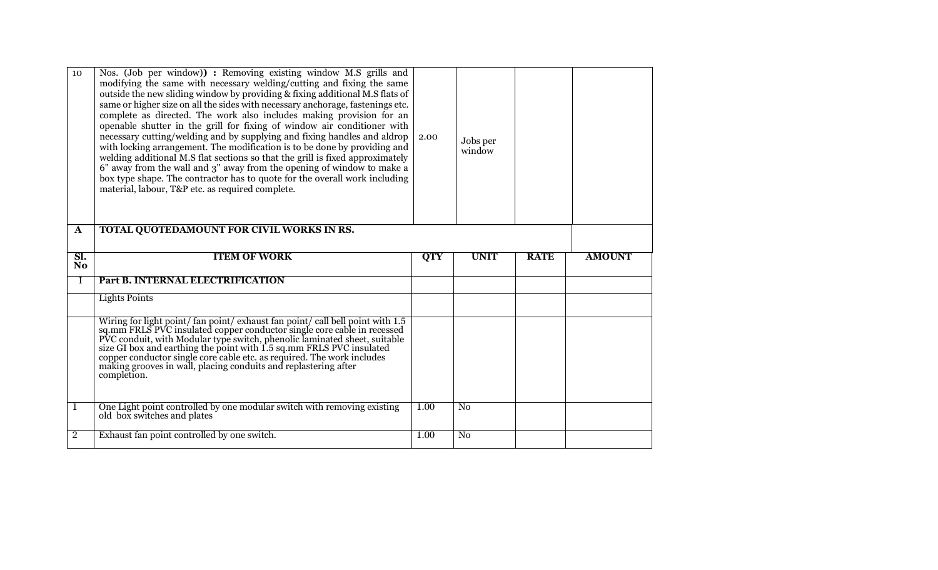| 10<br>$\mathbf{A}$    | Nos. (Job per window)) : Removing existing window M.S grills and<br>modifying the same with necessary welding/cutting and fixing the same<br>outside the new sliding window by providing & fixing additional M.S flats of<br>same or higher size on all the sides with necessary anchorage, fastenings etc.<br>complete as directed. The work also includes making provision for an<br>openable shutter in the grill for fixing of window air conditioner with<br>necessary cutting/welding and by supplying and fixing handles and aldrop<br>with locking arrangement. The modification is to be done by providing and<br>welding additional M.S flat sections so that the grill is fixed approximately<br>6" away from the wall and 3" away from the opening of window to make a<br>box type shape. The contractor has to quote for the overall work including<br>material, labour, T&P etc. as required complete.<br>TOTAL QUOTEDAMOUNT FOR CIVIL WORKS IN RS. | 2.00       | Jobs per<br>window |             |               |
|-----------------------|-------------------------------------------------------------------------------------------------------------------------------------------------------------------------------------------------------------------------------------------------------------------------------------------------------------------------------------------------------------------------------------------------------------------------------------------------------------------------------------------------------------------------------------------------------------------------------------------------------------------------------------------------------------------------------------------------------------------------------------------------------------------------------------------------------------------------------------------------------------------------------------------------------------------------------------------------------------------|------------|--------------------|-------------|---------------|
|                       |                                                                                                                                                                                                                                                                                                                                                                                                                                                                                                                                                                                                                                                                                                                                                                                                                                                                                                                                                                   |            |                    |             |               |
| SI.<br>N <sub>o</sub> | <b>ITEM OF WORK</b>                                                                                                                                                                                                                                                                                                                                                                                                                                                                                                                                                                                                                                                                                                                                                                                                                                                                                                                                               | <b>QTY</b> | <b>UNIT</b>        | <b>RATE</b> | <b>AMOUNT</b> |
| Ι                     | Part B. INTERNAL ELECTRIFICATION                                                                                                                                                                                                                                                                                                                                                                                                                                                                                                                                                                                                                                                                                                                                                                                                                                                                                                                                  |            |                    |             |               |
|                       |                                                                                                                                                                                                                                                                                                                                                                                                                                                                                                                                                                                                                                                                                                                                                                                                                                                                                                                                                                   |            |                    |             |               |
|                       | <b>Lights Points</b>                                                                                                                                                                                                                                                                                                                                                                                                                                                                                                                                                                                                                                                                                                                                                                                                                                                                                                                                              |            |                    |             |               |
|                       | Wiring for light point/ fan point/ exhaust fan point/ call bell point with 1.5                                                                                                                                                                                                                                                                                                                                                                                                                                                                                                                                                                                                                                                                                                                                                                                                                                                                                    |            |                    |             |               |
|                       | sq.mm FRLS PVC insulated copper conductor single core cable in recessed<br>PVC conduit, with Modular type switch, phenolic laminated sheet, suitable<br>size GI box and earthing the point with 1.5 sq.mm FRLS PVC insulated<br>copper conductor single core cable etc. as required. The work includes<br>making grooves in wall, placing conduits and replastering after<br>completion.                                                                                                                                                                                                                                                                                                                                                                                                                                                                                                                                                                          |            |                    |             |               |
| 1                     | One Light point controlled by one modular switch with removing existing<br>old box switches and plates                                                                                                                                                                                                                                                                                                                                                                                                                                                                                                                                                                                                                                                                                                                                                                                                                                                            | 1.00       | N <sub>0</sub>     |             |               |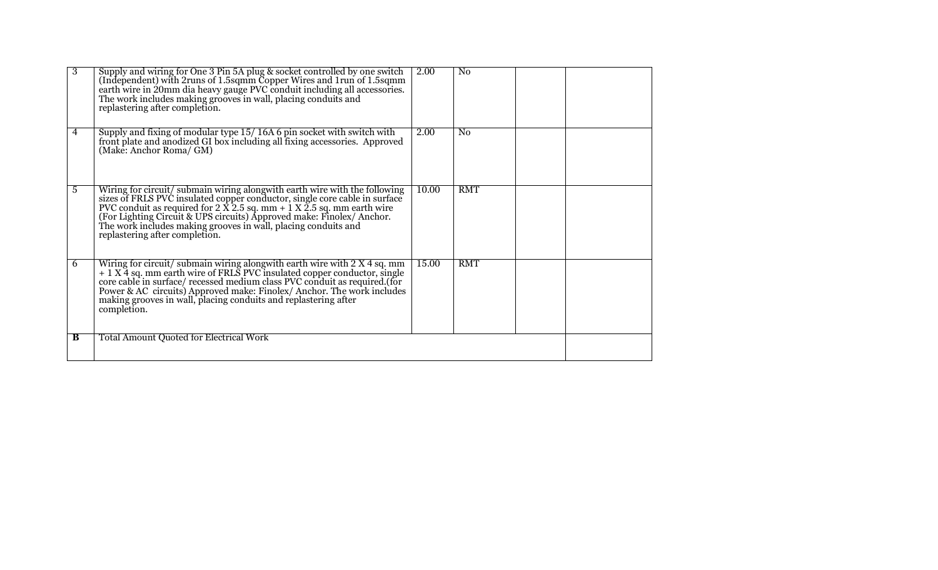| 3 | Supply and wiring for One 3 Pin 5A plug & socket controlled by one switch (Independent) with 2runs of 1.5sqmm Copper Wires and 1run of 1.5sqmm earth wire in 20mm dia heavy gauge PVC conduit including all accessories. The<br>replastering after completion.                                                                                                                                      | 2.00  | $\overline{N_0}$ |  |
|---|-----------------------------------------------------------------------------------------------------------------------------------------------------------------------------------------------------------------------------------------------------------------------------------------------------------------------------------------------------------------------------------------------------|-------|------------------|--|
| 4 | Supply and fixing of modular type 15/16A 6 pin socket with switch with front plate and anodized GI box including all fixing accessories. Approved<br>(Make: Anchor Roma/ GM)                                                                                                                                                                                                                        | 2.00  | No               |  |
| 5 | Wiring for circuit/submain wiring along<br>with earth wire with the following sizes of FRLS PVC insulated copper conductor, single core cable in surface<br>PVC conduit as required for 2 $\overline{X}$ 2.5 sq. mm + 1 $\overline{X}$ 2.5 sq.<br>replastering after completion.                                                                                                                    | 10.00 | <b>RMT</b>       |  |
| 6 | Wiring for circuit/submain wiring alongwith earth wire with $2 \times 4$ sq. mm + $1 \times 4$ sq. mm earth wire of FRLS PVC insulated copper conductor, single core cable in surface/ recessed medium class PVC conduit as required.(f<br>Power & AC circuits) Approved make: Finolex/ Anchor. The work includes<br>making grooves in wall, placing conduits and replastering after<br>completion. | 15.00 | <b>RMT</b>       |  |
| B | <b>Total Amount Quoted for Electrical Work</b>                                                                                                                                                                                                                                                                                                                                                      |       |                  |  |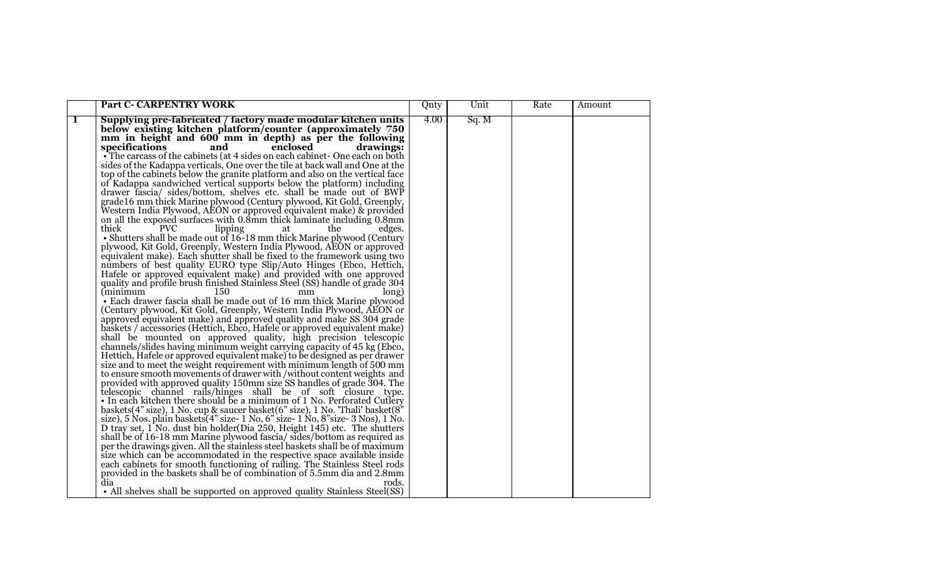|              | <b>Part C- CARPENTRY WORK</b>                                                                                                                        | Qnty | Unit  | Rate | Amount |
|--------------|------------------------------------------------------------------------------------------------------------------------------------------------------|------|-------|------|--------|
| $\mathbf{1}$ | Supplying pre-fabricated / factory made modular kitchen units<br>below existing kitchen platform/counter (approximately 750                          | 4.00 | Sq. M |      |        |
|              | mm in height and 600 mm in depth) as per the following                                                                                               |      |       |      |        |
|              | specifications<br>enclosed<br>drawings:<br>and                                                                                                       |      |       |      |        |
|              | •The carcass of the cabinets (at 4 sides on each cabinet - One each on both                                                                          |      |       |      |        |
|              | sides of the Kadappa verticals, One over the tile at back wall and One at the                                                                        |      |       |      |        |
|              | top of the cabinets below the granite platform and also on the vertical face                                                                         |      |       |      |        |
|              | of Kadappa sandwiched vertical supports below the platform) including                                                                                |      |       |      |        |
|              | drawer fascia/ sides/bottom, shelves etc. shall be made out of BWP                                                                                   |      |       |      |        |
|              | grade16 mm thick Marine plywood (Century plywood, Kit Gold, Greenply,<br>Western India Plywood, AEON or approved equivalent make) & provided         |      |       |      |        |
|              | on all the exposed surfaces with 0.8mm thick laminate including 0.8mm                                                                                |      |       |      |        |
|              | thick<br><b>PVC</b><br>lipping<br>edges.<br>the<br>at                                                                                                |      |       |      |        |
|              | • Shutters shall be made out of 16-18 mm thick Marine plywood (Century                                                                               |      |       |      |        |
|              | plywood, Kit Gold, Greenply, Western India Plywood, AEON or approved                                                                                 |      |       |      |        |
|              | equivalent make). Each shutter shall be fixed to the framework using two                                                                             |      |       |      |        |
|              | numbers of best quality EURO type Slip/Auto Hinges (Ebco, Hettich,                                                                                   |      |       |      |        |
|              | Hafele or approved equivalent make) and provided with one approved                                                                                   |      |       |      |        |
|              | quality and profile brush finished Stainless Steel (SS) handle of grade 304                                                                          |      |       |      |        |
|              | (minimum<br>150<br>long)<br>mm                                                                                                                       |      |       |      |        |
|              | • Each drawer fascia shall be made out of 16 mm thick Marine plywood                                                                                 |      |       |      |        |
|              | (Century plywood, Kit Gold, Greenply, Western India Plywood, AEON or                                                                                 |      |       |      |        |
|              | approved equivalent make) and approved quality and make SS 304 grade                                                                                 |      |       |      |        |
|              | baskets / accessories (Hettich, Ebco, Hafele or approved equivalent make)                                                                            |      |       |      |        |
|              | shall be mounted on approved quality, high precision telescopic<br>channels/slides having minimum weight carrying capacity of 45 kg (Ebco,           |      |       |      |        |
|              | Hettich, Hafele or approved equivalent make) to be designed as per drawer                                                                            |      |       |      |        |
|              | size and to meet the weight requirement with minimum length of 500 mm                                                                                |      |       |      |        |
|              | to ensure smooth movements of drawer with / without content weights and                                                                              |      |       |      |        |
|              | provided with approved quality 150mm size SS handles of grade 304. The                                                                               |      |       |      |        |
|              | telescopic channel rails/hinges shall be of soft closure type.                                                                                       |      |       |      |        |
|              | • In each kitchen there should be a minimum of 1 No. Perforated Cutlery                                                                              |      |       |      |        |
|              | baskets(4" size), 1 No. cup & saucer basket(6" size), 1 No. 'Thali' basket( $8$ "                                                                    |      |       |      |        |
|              | size), 5 Nos. plain baskets (4" size-1 No, 6" size-1 No, 8" size-3 Nos), 1 No.                                                                       |      |       |      |        |
|              | D tray set, 1 No. dust bin holder (Dia 250, Height 145) etc. The shutters                                                                            |      |       |      |        |
|              | shall be of 16-18 mm Marine plywood fascia/ sides/bottom as required as                                                                              |      |       |      |        |
|              | per the drawings given. All the stainless steel baskets shall be of maximum                                                                          |      |       |      |        |
|              | size which can be accommodated in the respective space available inside<br>each cabinets for smooth functioning of railing. The Stainless Steel rods |      |       |      |        |
|              | provided in the baskets shall be of combination of 5.5mm dia and 2.8mm                                                                               |      |       |      |        |
|              | dia<br>rods.                                                                                                                                         |      |       |      |        |
|              | • All shelves shall be supported on approved quality Stainless Steel(SS)                                                                             |      |       |      |        |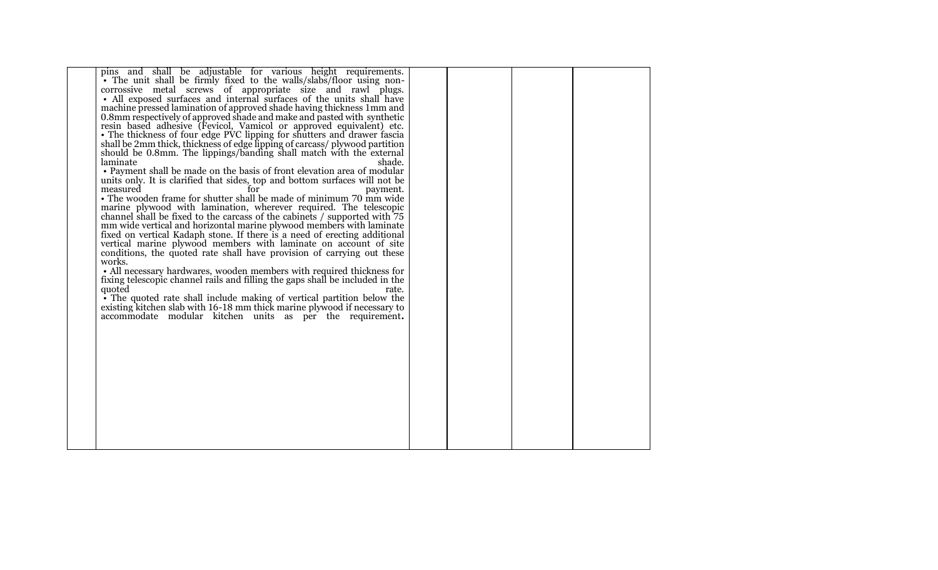| pins and shall be adjustable for various height requirements.                 |  |  |
|-------------------------------------------------------------------------------|--|--|
| • The unit shall be firmly fixed to the walls/slabs/floor using non-          |  |  |
| corrossive metal screws of appropriate size and rawl plugs.                   |  |  |
| • All exposed surfaces and internal surfaces of the units shall have          |  |  |
|                                                                               |  |  |
| machine pressed lamination of approved shade having thickness 1mm and         |  |  |
| 0.8mm respectively of approved shade and make and pasted with synthetic       |  |  |
| resin based adhesive (Fevicol, Vamicol or approved equivalent) etc.           |  |  |
| • The thickness of four edge PVC lipping for shutters and drawer fascia       |  |  |
|                                                                               |  |  |
| shall be 2mm thick, thickness of edge lipping of carcass/ plywood partition   |  |  |
| should be 0.8mm. The lippings/banding shall match with the external           |  |  |
| laminate<br>shade.                                                            |  |  |
| • Payment shall be made on the basis of front elevation area of modular       |  |  |
| units only. It is clarified that sides, top and bottom surfaces will not be   |  |  |
|                                                                               |  |  |
| measured<br>payment.                                                          |  |  |
| • The wooden frame for shutter shall be made of minimum 70 mm wide            |  |  |
| marine plywood with lamination, wherever required. The telescopic             |  |  |
| channel shall be fixed to the carcass of the cabinets / supported with 75     |  |  |
| mm wide vertical and horizontal marine plywood members with laminate          |  |  |
|                                                                               |  |  |
| fixed on vertical Kadaph stone. If there is a need of erecting additional     |  |  |
| vertical marine plywood members with laminate on account of site              |  |  |
| conditions, the quoted rate shall have provision of carrying out these        |  |  |
| works.                                                                        |  |  |
| • All necessary hardwares, wooden members with required thickness for         |  |  |
| fixing telescopic channel rails and filling the gaps shall be included in the |  |  |
|                                                                               |  |  |
| quoted<br>rate.                                                               |  |  |
| • The quoted rate shall include making of vertical partition below the        |  |  |
| existing kitchen slab with 16-18 mm thick marine plywood if necessary to      |  |  |
| accommodate modular kitchen units as per the requirement.                     |  |  |
|                                                                               |  |  |
|                                                                               |  |  |
|                                                                               |  |  |
|                                                                               |  |  |
|                                                                               |  |  |
|                                                                               |  |  |
|                                                                               |  |  |
|                                                                               |  |  |
|                                                                               |  |  |
|                                                                               |  |  |
|                                                                               |  |  |
|                                                                               |  |  |
|                                                                               |  |  |
|                                                                               |  |  |
|                                                                               |  |  |
|                                                                               |  |  |
|                                                                               |  |  |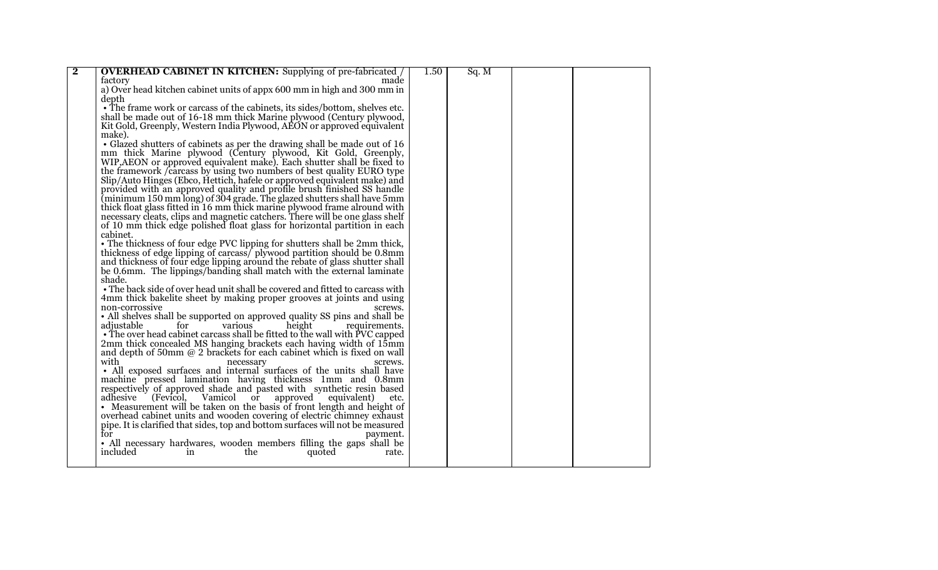| $\overline{\mathbf{2}}$ | <b>OVERHEAD CABINET IN KITCHEN:</b> Supplying of pre-fabricated                | 1.50 | Sq. M |  |  |
|-------------------------|--------------------------------------------------------------------------------|------|-------|--|--|
|                         | made<br>factory                                                                |      |       |  |  |
|                         | a) Over head kitchen cabinet units of appx 600 mm in high and 300 mm in        |      |       |  |  |
|                         | depth                                                                          |      |       |  |  |
|                         | • The frame work or carcass of the cabinets, its sides/bottom, shelves etc.    |      |       |  |  |
|                         |                                                                                |      |       |  |  |
|                         | shall be made out of 16-18 mm thick Marine plywood (Century plywood,           |      |       |  |  |
|                         | Kit Gold, Greenply, Western India Plywood, AEON or approved equivalent         |      |       |  |  |
|                         | make).                                                                         |      |       |  |  |
|                         | • Glazed shutters of cabinets as per the drawing shall be made out of 16       |      |       |  |  |
|                         | mm thick Marine plywood (Century plywood, Kit Gold, Greenply,                  |      |       |  |  |
|                         | WIP, AEON or approved equivalent make). Each shutter shall be fixed to         |      |       |  |  |
|                         | the framework <i>f</i> carcass by using two numbers of best quality EURO type  |      |       |  |  |
|                         | Slip/Auto Hinges (Ebco, Hettich, hafele or approved equivalent make) and       |      |       |  |  |
|                         | provided with an approved quality and profile brush finished SS handle         |      |       |  |  |
|                         | (minimum 150 mm long) of 304 grade. The glazed shutters shall have 5mm         |      |       |  |  |
|                         | thick float glass fitted in 16 mm thick marine plywood frame alround with      |      |       |  |  |
|                         | necessary cleats, clips and magnetic catchers. There will be one glass shelf   |      |       |  |  |
|                         | of 10 mm thick edge polished float glass for horizontal partition in each      |      |       |  |  |
|                         | cabinet.                                                                       |      |       |  |  |
|                         | • The thickness of four edge PVC lipping for shutters shall be 2mm thick,      |      |       |  |  |
|                         | thickness of edge lipping of carcass/ plywood partition should be 0.8mm        |      |       |  |  |
|                         | and thickness of four edge lipping around the rebate of glass shutter shall    |      |       |  |  |
|                         | be 0.6mm. The lippings/banding shall match with the external laminate          |      |       |  |  |
|                         | shade.                                                                         |      |       |  |  |
|                         | • The back side of over head unit shall be covered and fitted to carcass with  |      |       |  |  |
|                         | 4mm thick bakelite sheet by making proper grooves at joints and using          |      |       |  |  |
|                         | non-corrossive<br>screws.                                                      |      |       |  |  |
|                         | • All shelves shall be supported on approved quality SS pins and shall be      |      |       |  |  |
|                         | adjustable<br>for<br>various<br>height<br>requirements.                        |      |       |  |  |
|                         |                                                                                |      |       |  |  |
|                         | • The over head cabinet carcass shall be fitted to the wall with PVC capped    |      |       |  |  |
|                         | 2mm thick concealed MS hanging brackets each having width of 15mm              |      |       |  |  |
|                         | and depth of 50mm $@$ 2 brackets for each cabinet which is fixed on wall       |      |       |  |  |
|                         | with<br>screws.<br>necessary                                                   |      |       |  |  |
|                         | • All exposed surfaces and internal surfaces of the units shall have           |      |       |  |  |
|                         | machine pressed lamination having thickness 1mm and 0.8mm                      |      |       |  |  |
|                         | respectively of approved shade and pasted with synthetic resin based           |      |       |  |  |
|                         | adhesive<br>(Fevicol, Vamicol or<br>approved equivalent)<br>etc.               |      |       |  |  |
|                         | • Measurement will be taken on the basis of front length and height of         |      |       |  |  |
|                         | overhead cabinet units and wooden covering of electric chimney exhaust         |      |       |  |  |
|                         | pipe. It is clarified that sides, top and bottom surfaces will not be measured |      |       |  |  |
|                         | for<br>payment.                                                                |      |       |  |  |
|                         | • All necessary hardwares, wooden members filling the gaps shall be            |      |       |  |  |
|                         | included<br>in<br>the<br>quoted<br>rate.                                       |      |       |  |  |
|                         |                                                                                |      |       |  |  |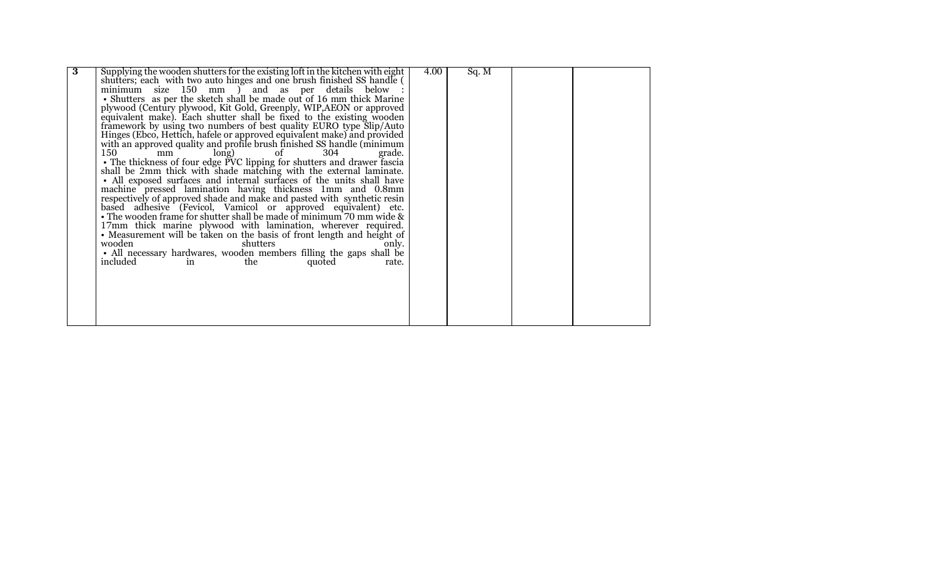| Supplying the wooden shutters for the existing loft in the kitchen with eight<br>4.00<br>Sq. M<br>shutters; each with two auto hinges and one brush finished SS handle (<br>minimum size 150 mm ) and as per details below |  |
|----------------------------------------------------------------------------------------------------------------------------------------------------------------------------------------------------------------------------|--|
|                                                                                                                                                                                                                            |  |
|                                                                                                                                                                                                                            |  |
| • Shutters as per the sketch shall be made out of 16 mm thick Marine                                                                                                                                                       |  |
| plywood (Century plywood, Kit Gold, Greenply, WIP, AEON or approved                                                                                                                                                        |  |
| equivalent make). Each shutter shall be fixed to the existing wooden                                                                                                                                                       |  |
| framework by using two numbers of best quality EURO type Slip/Auto                                                                                                                                                         |  |
| Hinges (Ebco, Hettich, hafele or approved equivalent make) and provided                                                                                                                                                    |  |
| with an approved quality and profile brush finished SS handle (minimum                                                                                                                                                     |  |
| 150<br>304<br>long)<br>οf<br>mm<br>grade.                                                                                                                                                                                  |  |
| • The thickness of four edge PVC lipping for shutters and drawer fascia                                                                                                                                                    |  |
| shall be 2mm thick with shade matching with the external laminate.                                                                                                                                                         |  |
| • All exposed surfaces and internal surfaces of the units shall have                                                                                                                                                       |  |
|                                                                                                                                                                                                                            |  |
| machine pressed lamination having thickness 1mm and 0.8mm                                                                                                                                                                  |  |
| respectively of approved shade and make and pasted with synthetic resin                                                                                                                                                    |  |
| based adhesive (Fevicol, Vamicol or approved equivalent) etc.                                                                                                                                                              |  |
| • The wooden frame for shutter shall be made of minimum $70$ mm wide $\&$                                                                                                                                                  |  |
| 17mm thick marine plywood with lamination, wherever required.                                                                                                                                                              |  |
| • Measurement will be taken on the basis of front length and height of                                                                                                                                                     |  |
| wooden<br>shutters<br>only.                                                                                                                                                                                                |  |
| • All necessary hardwares, wooden members filling the gaps shall be                                                                                                                                                        |  |
| included<br>quoted<br>the<br>in<br>rate.                                                                                                                                                                                   |  |
|                                                                                                                                                                                                                            |  |
|                                                                                                                                                                                                                            |  |
|                                                                                                                                                                                                                            |  |
|                                                                                                                                                                                                                            |  |
|                                                                                                                                                                                                                            |  |
|                                                                                                                                                                                                                            |  |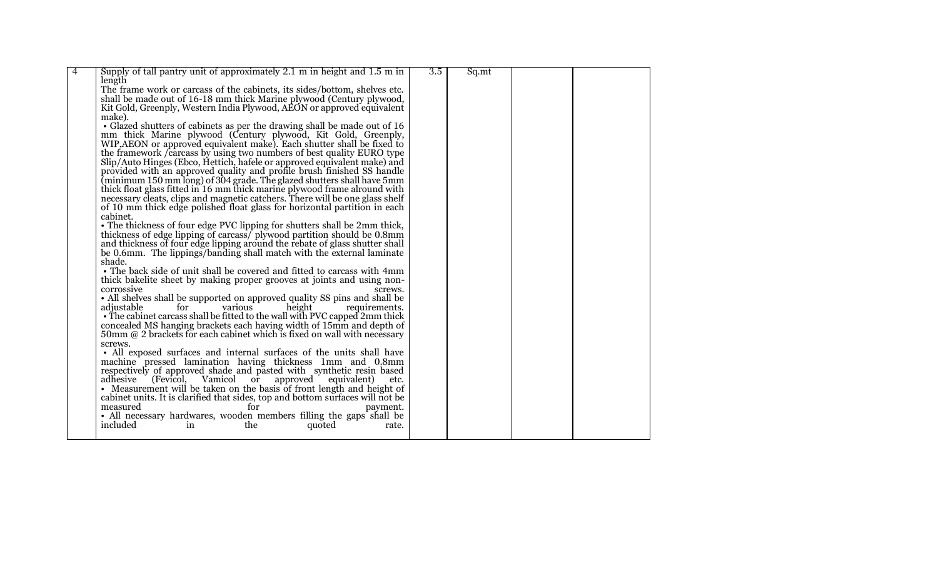| $\overline{4}$ | Supply of tall pantry unit of approximately 2.1 m in height and 1.5 m in                                                             | 3.5 | Sq.mt |  |  |
|----------------|--------------------------------------------------------------------------------------------------------------------------------------|-----|-------|--|--|
|                | length                                                                                                                               |     |       |  |  |
|                | The frame work or carcass of the cabinets, its sides/bottom, shelves etc.                                                            |     |       |  |  |
|                |                                                                                                                                      |     |       |  |  |
|                | shall be made out of 16-18 mm thick Marine plywood (Century plywood,                                                                 |     |       |  |  |
|                | Kit Gold, Greenply, Western India Plywood, AEON or approved equivalent                                                               |     |       |  |  |
|                | make).                                                                                                                               |     |       |  |  |
|                | • Glazed shutters of cabinets as per the drawing shall be made out of 16                                                             |     |       |  |  |
|                |                                                                                                                                      |     |       |  |  |
|                | mm thick Marine plywood (Century plywood, Kit Gold, Greenply, WIP, AEON or approved equivalent make). Each shutter shall be fixed to |     |       |  |  |
|                | the framework <i>f</i> carcass by using two numbers of best quality EURO type                                                        |     |       |  |  |
|                | Slip/Auto Hinges (Ebco, Hettich, hafele or approved equivalent make) and                                                             |     |       |  |  |
|                | provided with an approved quality and profile brush finished SS handle                                                               |     |       |  |  |
|                | (minimum 150 mm long) of 304 grade. The glazed shutters shall have 5mm                                                               |     |       |  |  |
|                | thick float glass fitted in 16 mm thick marine plywood frame alround with                                                            |     |       |  |  |
|                | necessary cleats, clips and magnetic catchers. There will be one glass shelf                                                         |     |       |  |  |
|                | of 10 mm thick edge polished float glass for horizontal partition in each                                                            |     |       |  |  |
|                | cabinet.                                                                                                                             |     |       |  |  |
|                |                                                                                                                                      |     |       |  |  |
|                | • The thickness of four edge PVC lipping for shutters shall be 2mm thick,                                                            |     |       |  |  |
|                | thickness of edge lipping of carcass/plywood partition should be 0.8mm                                                               |     |       |  |  |
|                | and thickness of four edge lipping around the rebate of glass shutter shall                                                          |     |       |  |  |
|                | be 0.6mm. The lippings/banding shall match with the external laminate                                                                |     |       |  |  |
|                | shade.                                                                                                                               |     |       |  |  |
|                | • The back side of unit shall be covered and fitted to carcass with 4mm                                                              |     |       |  |  |
|                | thick bakelite sheet by making proper grooves at joints and using non-                                                               |     |       |  |  |
|                | corrossive<br>screws.                                                                                                                |     |       |  |  |
|                | • All shelves shall be supported on approved quality SS pins and shall be                                                            |     |       |  |  |
|                | for<br>various<br>adjustable<br>height<br>requirements.                                                                              |     |       |  |  |
|                | • The cabinet carcass shall be fitted to the wall with PVC capped 2mm thick                                                          |     |       |  |  |
|                | concealed MS hanging brackets each having width of 15mm and depth of                                                                 |     |       |  |  |
|                | 50mm $@$ 2 brackets for each cabinet which is fixed on wall with necessary                                                           |     |       |  |  |
|                | screws.                                                                                                                              |     |       |  |  |
|                | • All exposed surfaces and internal surfaces of the units shall have                                                                 |     |       |  |  |
|                | machine pressed lamination having thickness 1mm and 0.8mm                                                                            |     |       |  |  |
|                | respectively of approved shade and pasted with synthetic resin based                                                                 |     |       |  |  |
|                | adhesive<br>Vamicol or<br>approved equivalent)<br>(Fevicol,<br>etc.                                                                  |     |       |  |  |
|                | • Measurement will be taken on the basis of front length and height of                                                               |     |       |  |  |
|                | cabinet units. It is clarified that sides, top and bottom surfaces will not be                                                       |     |       |  |  |
|                | measured                                                                                                                             |     |       |  |  |
|                | for<br>payment.                                                                                                                      |     |       |  |  |
|                | • All necessary hardwares, wooden members filling the gaps shall be                                                                  |     |       |  |  |
|                | included<br>in<br>the<br>quoted<br>rate.                                                                                             |     |       |  |  |
|                |                                                                                                                                      |     |       |  |  |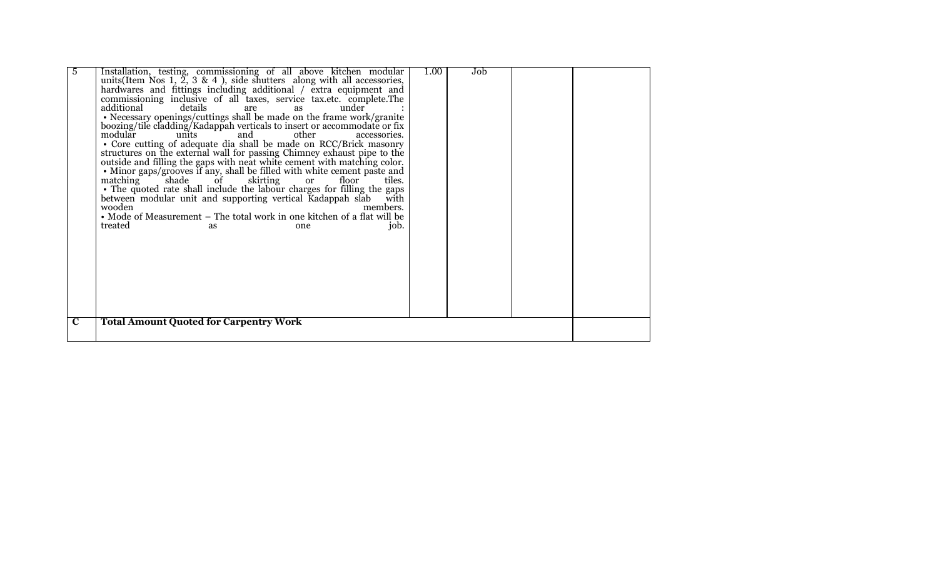| 5           | Installation, testing, commissioning of all above kitchen modular<br>units (Item Nos 1, $\tilde{2}$ , 3 & 4), side shutters along with all accessories,<br>hardwares and fittings including additional / extra equipment and<br>commissioning inclusive of all taxes, service tax.etc. complete.The<br>details<br>additional<br>under<br>are<br>as<br>• Necessary openings/cuttings shall be made on the frame work/granite<br>boozing/tile cladding/Kadappah verticals to insert or accommodate or fix<br>modular<br>other<br>units<br>and<br>accessories.<br>• Core cutting of adequate dia shall be made on RCC/Brick masonry<br>structures on the external wall for passing Chimney exhaust pipe to the outside and filling the gaps with neat white cement with matching color.<br>· Minor gaps/grooves if any, shall be filled with white cement paste and<br>$\checkmark$ shade<br>skirting<br>matching<br>floor<br>of<br>or<br>tiles.<br>• The quoted rate shall include the labour charges for filling the gaps<br>between modular unit and supporting vertical Kadappah slab<br>with<br>wooden<br>members.<br>• Mode of Measurement – The total work in one kitchen of a flat will be<br>treated<br>job.<br>as<br>one | 1.00 | Job |  |
|-------------|---------------------------------------------------------------------------------------------------------------------------------------------------------------------------------------------------------------------------------------------------------------------------------------------------------------------------------------------------------------------------------------------------------------------------------------------------------------------------------------------------------------------------------------------------------------------------------------------------------------------------------------------------------------------------------------------------------------------------------------------------------------------------------------------------------------------------------------------------------------------------------------------------------------------------------------------------------------------------------------------------------------------------------------------------------------------------------------------------------------------------------------------------------------------------------------------------------------------------------|------|-----|--|
| $\mathbf C$ | <b>Total Amount Quoted for Carpentry Work</b>                                                                                                                                                                                                                                                                                                                                                                                                                                                                                                                                                                                                                                                                                                                                                                                                                                                                                                                                                                                                                                                                                                                                                                                   |      |     |  |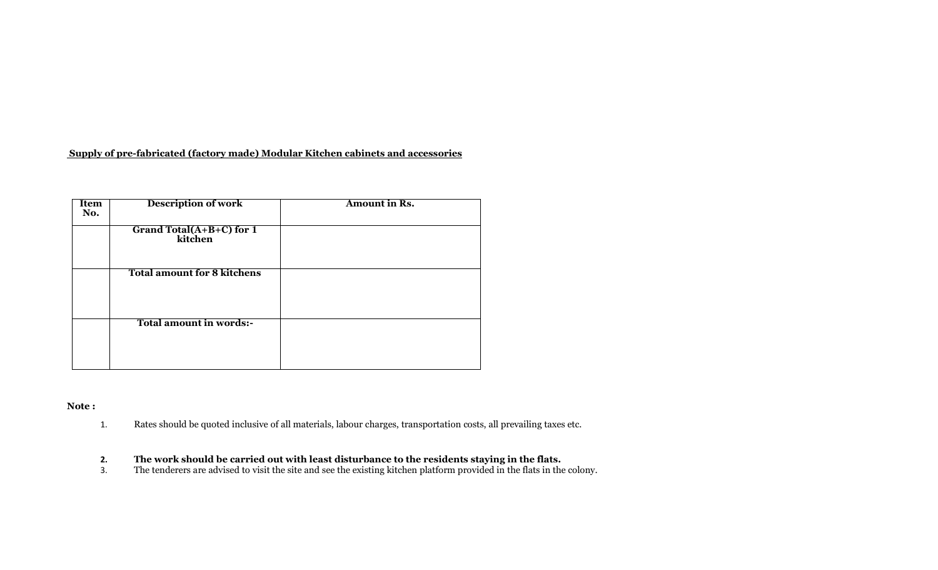# **Supply of pre-fabricated (factory made) Modular Kitchen cabinets and accessories**

| <b>Item</b><br>No. | <b>Description of work</b>          | Amount in Rs. |
|--------------------|-------------------------------------|---------------|
|                    | Grand Total(A+B+C) for 1<br>kitchen |               |
|                    | <b>Total amount for 8 kitchens</b>  |               |
|                    | Total amount in words:-             |               |

## **Note :**

1. Rates should be quoted inclusive of all materials, labour charges, transportation costs, all prevailing taxes etc.

#### **2. The work should be carried out with least disturbance to the residents staying in the flats.**

3. The tenderers are advised to visit the site and see the existing kitchen platform provided in the flats in the colony.